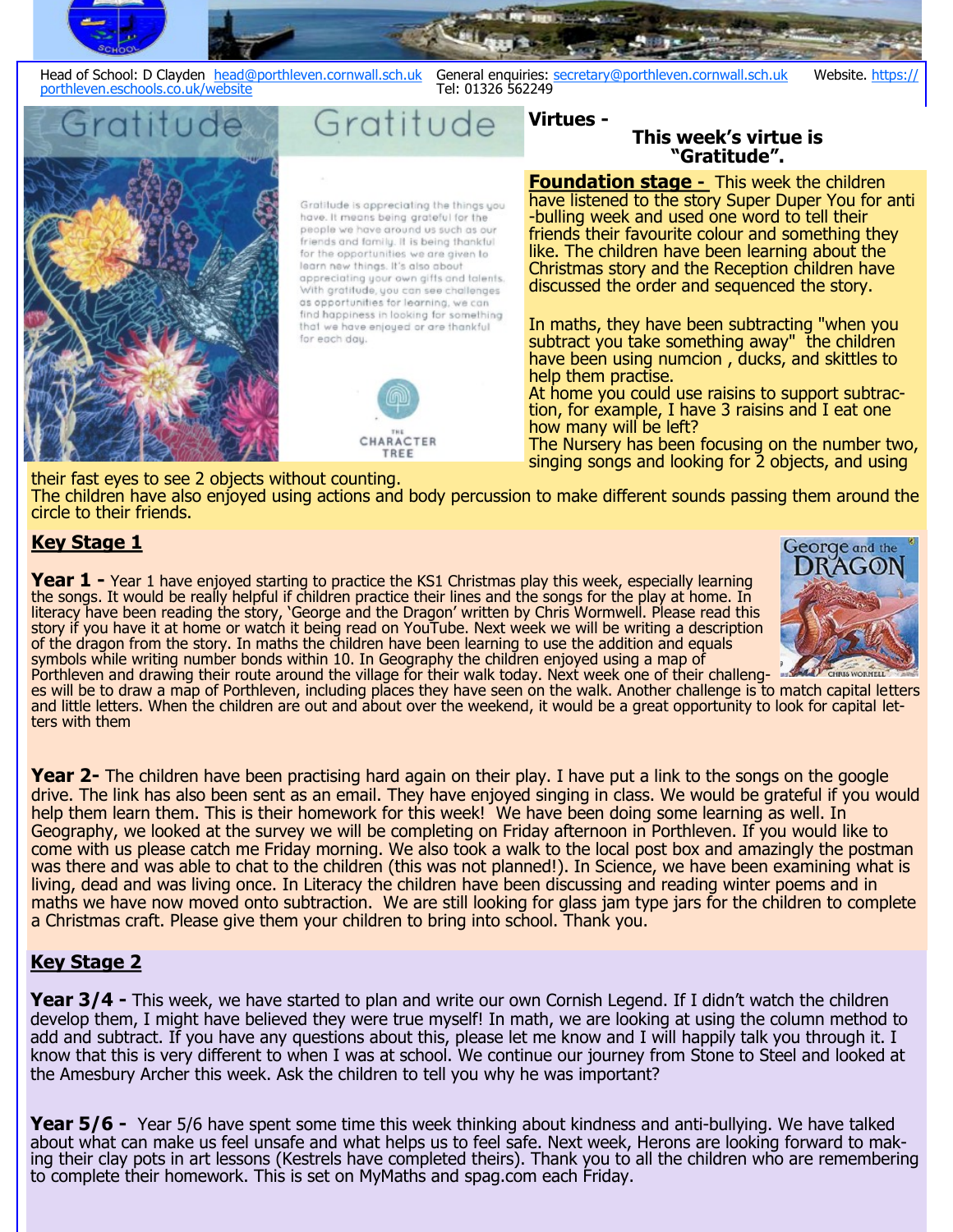



subtract you take something away" the children have been using numcion , ducks, and skittles to help them practise.

At home you could use raisins to support subtraction, for example, I have 3 raisins and I eat one how many will be left?

The Nursery has been focusing on the number two, singing songs and looking for 2 objects, and using

their fast eyes to see 2 objects without counting. The children have also enjoyed using actions and body percussion to make different sounds passing them around the circle to their friends.

# **Key Stage 1**

**Year 1 -** Year 1 have enjoyed starting to practice the KS1 Christmas play this week, especially learning the songs. It would be really helpful if children practice their lines and the songs for the play at home. In literacy have been reading the story, 'George and the Dragon' written by Chris Wormwell. Please read this story if you have it at home or watch it being read on YouTube. Next week we will be writing a description of the dragon from the story. In maths the children have been learning to use the addition and equals symbols while writing number bonds within 10. In Geography the children enjoyed using a map of Porthleven and drawing their route around the village for their walk today. Next week one of their challeng-



es will be to draw a map of Porthleven, including places they have seen on the walk. Another challenge is to match capital letters and little letters. When the children are out and about over the weekend, it would be a great opportunity to look for capital letters with them

**Year 2-** The children have been practising hard again on their play. I have put a link to the songs on the google drive. The link has also been sent as an email. They have enjoyed singing in class. We would be grateful if you would help them learn them. This is their homework for this week! We have been doing some learning as well. In Geography, we looked at the survey we will be completing on Friday afternoon in Porthleven. If you would like to come with us please catch me Friday morning. We also took a walk to the local post box and amazingly the postman was there and was able to chat to the children (this was not planned!). In Science, we have been examining what is living, dead and was living once. In Literacy the children have been discussing and reading winter poems and in maths we have now moved onto subtraction. We are still looking for glass jam type jars for the children to complete a Christmas craft. Please give them your children to bring into school. Thank you.

### **Key Stage 2**

**Year 3/4 -** This week, we have started to plan and write our own Cornish Legend. If I didn't watch the children develop them, I might have believed they were true myself! In math, we are looking at using the column method to add and subtract. If you have any questions about this, please let me know and I will happily talk you through it. I know that this is very different to when I was at school. We continue our journey from Stone to Steel and looked at the Amesbury Archer this week. Ask the children to tell you why he was important?

**Year 5/6 -** Year 5/6 have spent some time this week thinking about kindness and anti-bullying. We have talked about what can make us feel unsafe and what helps us to feel safe. Next week, Herons are looking forward to making their clay pots in art lessons (Kestrels have completed theirs). Thank you to all the children who are remembering to complete their homework. This is set on MyMaths and spag.com each Friday.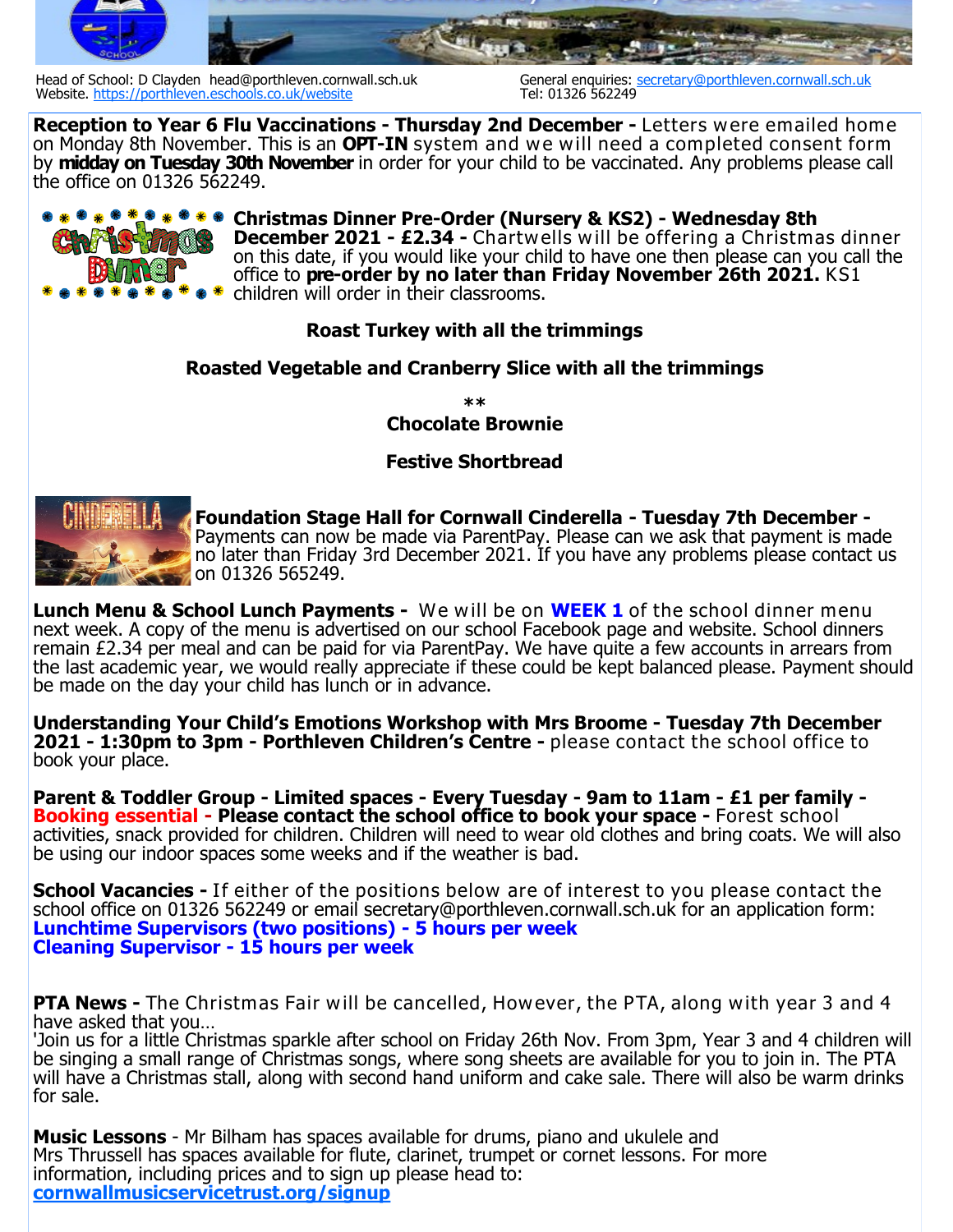

Head of School: D Clayden head@porthleven.cornwall.sch.uk General enquiries: secretary@porthleven.cornwall.sch.uk<br>Website, https://porthleven.eschools.co.uk/website<br>Website, https://porthleven.eschools.co.uk/website Website.<https://porthleven.eschools.co.uk/website>

**Reception to Year 6 Flu Vaccinations - Thursday 2nd December -** Letters were emailed home on Monday 8th November. This is an **OPT-IN** system and we will need a completed consent form by **midday on Tuesday 30th November** in order for your child to be vaccinated. Any problems please call the office on 01326 562249.



**Christmas Dinner Pre-Order (Nursery & KS2) - Wednesday 8th December 2021 - £2.34 -** Chartwells w ill be offering a Christmas dinner on this date, if you would like your child to have one then please can you call the office to **pre-order by no later than Friday November 26th 2021.** KS1 children will order in their classrooms.

### **Roast Turkey with all the trimmings**

### **Roasted Vegetable and Cranberry Slice with all the trimmings**

**\*\* Chocolate Brownie**

## **Festive Shortbread**



**Foundation Stage Hall for Cornwall Cinderella - Tuesday 7th December -** Payments can now be made via ParentPay. Please can we ask that payment is made no later than Friday 3rd December 2021. If you have any problems please contact us on 01326 565249.

**Lunch Menu & School Lunch Payments -** We will be on **WEEK 1** of the school dinner menu next week. A copy of the menu is advertised on our school Facebook page and website. School dinners remain £2.34 per meal and can be paid for via ParentPay. We have quite a few accounts in arrears from the last academic year, we would really appreciate if these could be kept balanced please. Payment should be made on the day your child has lunch or in advance.

**Understanding Your Child's Emotions Workshop with Mrs Broome - Tuesday 7th December 2021 - 1:30pm to 3pm - Porthleven Children's Centre -** please contact the school office to book your place.

**Parent & Toddler Group - Limited spaces - Every Tuesday - 9am to 11am - £1 per family - Booking essential - Please contact the school office to book your space -** Forest school activities, snack provided for children. Children will need to wear old clothes and bring coats. We will also be using our indoor spaces some weeks and if the weather is bad.

**School Vacancies -** If either of the positions below are of interest to you please contact the school office on 01326 562249 or email secretary@porthleven.cornwall.sch.uk for an application form: **Lunchtime Supervisors (two positions) - 5 hours per week Cleaning Supervisor - 15 hours per week**

**PTA News -** The Christmas Fair will be cancelled, However, the PTA, along with year 3 and 4 have asked that you…

'Join us for a little Christmas sparkle after school on Friday 26th Nov. From 3pm, Year 3 and 4 children will be singing a small range of Christmas songs, where song sheets are available for you to join in. The PTA will have a Christmas stall, along with second hand uniform and cake sale. There will also be warm drinks for sale.

**Music Lessons** - Mr Bilham has spaces available for drums, piano and ukulele and Mrs Thrussell has spaces available for flute, clarinet, trumpet or cornet lessons. For more information, including prices and to sign up please head to: **<cornwallmusicservicetrust.org/signup>**